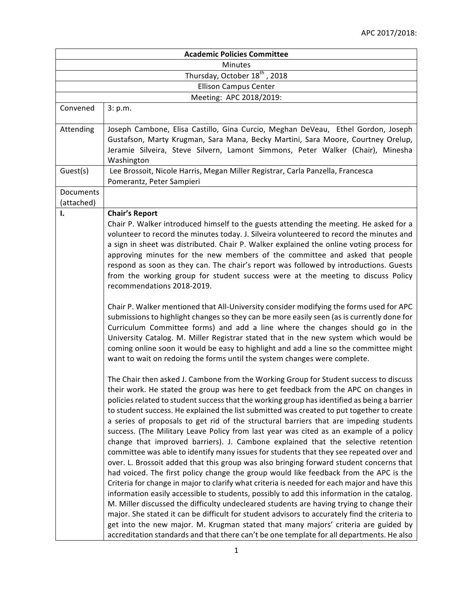| <b>Academic Policies Committee</b><br>Minutes |                                                                                                                                                                                                                                                                                                                                                                                                                                                                                                                                                                                                                                                                                                                                                                                                                                                                                                                                                                                                                                                                                                                                                                                                                                                                                                                                                                                                                                                                                                                   |  |  |
|-----------------------------------------------|-------------------------------------------------------------------------------------------------------------------------------------------------------------------------------------------------------------------------------------------------------------------------------------------------------------------------------------------------------------------------------------------------------------------------------------------------------------------------------------------------------------------------------------------------------------------------------------------------------------------------------------------------------------------------------------------------------------------------------------------------------------------------------------------------------------------------------------------------------------------------------------------------------------------------------------------------------------------------------------------------------------------------------------------------------------------------------------------------------------------------------------------------------------------------------------------------------------------------------------------------------------------------------------------------------------------------------------------------------------------------------------------------------------------------------------------------------------------------------------------------------------------|--|--|
|                                               |                                                                                                                                                                                                                                                                                                                                                                                                                                                                                                                                                                                                                                                                                                                                                                                                                                                                                                                                                                                                                                                                                                                                                                                                                                                                                                                                                                                                                                                                                                                   |  |  |
|                                               | <b>Ellison Campus Center</b>                                                                                                                                                                                                                                                                                                                                                                                                                                                                                                                                                                                                                                                                                                                                                                                                                                                                                                                                                                                                                                                                                                                                                                                                                                                                                                                                                                                                                                                                                      |  |  |
|                                               | Meeting: APC 2018/2019:                                                                                                                                                                                                                                                                                                                                                                                                                                                                                                                                                                                                                                                                                                                                                                                                                                                                                                                                                                                                                                                                                                                                                                                                                                                                                                                                                                                                                                                                                           |  |  |
| Convened                                      | 3: p.m.                                                                                                                                                                                                                                                                                                                                                                                                                                                                                                                                                                                                                                                                                                                                                                                                                                                                                                                                                                                                                                                                                                                                                                                                                                                                                                                                                                                                                                                                                                           |  |  |
| Attending                                     | Joseph Cambone, Elisa Castillo, Gina Curcio, Meghan DeVeau, Ethel Gordon, Joseph<br>Gustafson, Marty Krugman, Sara Mana, Becky Martini, Sara Moore, Courtney Orelup,<br>Jeramie Silveira, Steve Silvern, Lamont Simmons, Peter Walker (Chair), Minesha<br>Washington                                                                                                                                                                                                                                                                                                                                                                                                                                                                                                                                                                                                                                                                                                                                                                                                                                                                                                                                                                                                                                                                                                                                                                                                                                              |  |  |
| Guest(s)                                      | Lee Brossoit, Nicole Harris, Megan Miller Registrar, Carla Panzella, Francesca<br>Pomerantz, Peter Sampieri                                                                                                                                                                                                                                                                                                                                                                                                                                                                                                                                                                                                                                                                                                                                                                                                                                                                                                                                                                                                                                                                                                                                                                                                                                                                                                                                                                                                       |  |  |
| Documents<br>(attached)                       |                                                                                                                                                                                                                                                                                                                                                                                                                                                                                                                                                                                                                                                                                                                                                                                                                                                                                                                                                                                                                                                                                                                                                                                                                                                                                                                                                                                                                                                                                                                   |  |  |
| Ι.                                            | <b>Chair's Report</b><br>Chair P. Walker introduced himself to the guests attending the meeting. He asked for a<br>volunteer to record the minutes today. J. Silveira volunteered to record the minutes and<br>a sign in sheet was distributed. Chair P. Walker explained the online voting process for<br>approving minutes for the new members of the committee and asked that people<br>respond as soon as they can. The chair's report was followed by introductions. Guests<br>from the working group for student success were at the meeting to discuss Policy<br>recommendations 2018-2019.                                                                                                                                                                                                                                                                                                                                                                                                                                                                                                                                                                                                                                                                                                                                                                                                                                                                                                                |  |  |
|                                               | Chair P. Walker mentioned that All-University consider modifying the forms used for APC<br>submissions to highlight changes so they can be more easily seen (as is currently done for<br>Curriculum Committee forms) and add a line where the changes should go in the<br>University Catalog. M. Miller Registrar stated that in the new system which would be<br>coming online soon it would be easy to highlight and add a line so the committee might<br>want to wait on redoing the forms until the system changes were complete.                                                                                                                                                                                                                                                                                                                                                                                                                                                                                                                                                                                                                                                                                                                                                                                                                                                                                                                                                                             |  |  |
|                                               | The Chair then asked J. Cambone from the Working Group for Student success to discuss<br>their work. He stated the group was here to get feedback from the APC on changes in<br>policies related to student success that the working group has identified as being a barrier<br>to student success. He explained the list submitted was created to put together to create<br>a series of proposals to get rid of the structural barriers that are impeding students<br>success. (The Military Leave Policy from last year was cited as an example of a policy<br>change that improved barriers). J. Cambone explained that the selective retention<br>committee was able to identify many issues for students that they see repeated over and<br>over. L. Brossoit added that this group was also bringing forward student concerns that<br>had voiced. The first policy change the group would like feedback from the APC is the<br>Criteria for change in major to clarify what criteria is needed for each major and have this<br>information easily accessible to students, possibly to add this information in the catalog.<br>M. Miller discussed the difficulty undecleared students are having trying to change their<br>major. She stated it can be difficult for student advisors to accurately find the criteria to<br>get into the new major. M. Krugman stated that many majors' criteria are guided by<br>accreditation standards and that there can't be one template for all departments. He also |  |  |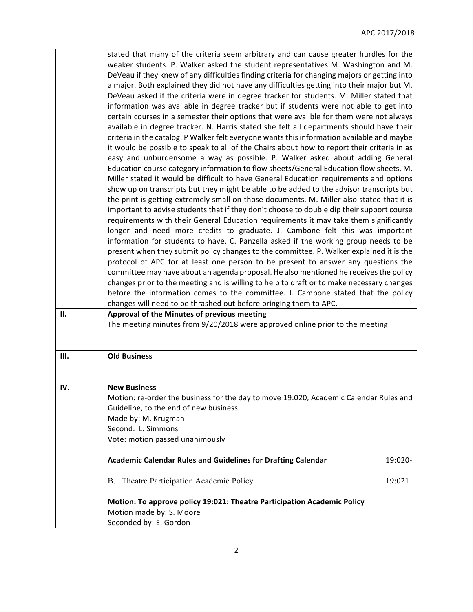|      | stated that many of the criteria seem arbitrary and can cause greater hurdles for the        |
|------|----------------------------------------------------------------------------------------------|
|      | weaker students. P. Walker asked the student representatives M. Washington and M.            |
|      | DeVeau if they knew of any difficulties finding criteria for changing majors or getting into |
|      | a major. Both explained they did not have any difficulties getting into their major but M.   |
|      | DeVeau asked if the criteria were in degree tracker for students. M. Miller stated that      |
|      | information was available in degree tracker but if students were not able to get into        |
|      | certain courses in a semester their options that were availble for them were not always      |
|      | available in degree tracker. N. Harris stated she felt all departments should have their     |
|      | criteria in the catalog. P Walker felt everyone wants this information available and maybe   |
|      | it would be possible to speak to all of the Chairs about how to report their criteria in as  |
|      |                                                                                              |
|      | easy and unburdensome a way as possible. P. Walker asked about adding General                |
|      | Education course category information to flow sheets/General Education flow sheets. M.       |
|      | Miller stated it would be difficult to have General Education requirements and options       |
|      | show up on transcripts but they might be able to be added to the advisor transcripts but     |
|      | the print is getting extremely small on those documents. M. Miller also stated that it is    |
|      | important to advise students that if they don't choose to double dip their support course    |
|      | requirements with their General Education requirements it may take them significantly        |
|      | longer and need more credits to graduate. J. Cambone felt this was important                 |
|      | information for students to have. C. Panzella asked if the working group needs to be         |
|      | present when they submit policy changes to the committee. P. Walker explained it is the      |
|      | protocol of APC for at least one person to be present to answer any questions the            |
|      | committee may have about an agenda proposal. He also mentioned he receives the policy        |
|      | changes prior to the meeting and is willing to help to draft or to make necessary changes    |
|      | before the information comes to the committee. J. Cambone stated that the policy             |
|      | changes will need to be thrashed out before bringing them to APC.                            |
| II.  | Approval of the Minutes of previous meeting                                                  |
|      | The meeting minutes from 9/20/2018 were approved online prior to the meeting                 |
|      |                                                                                              |
|      |                                                                                              |
| III. | <b>Old Business</b>                                                                          |
|      |                                                                                              |
|      |                                                                                              |
| IV.  | <b>New Business</b>                                                                          |
|      | Motion: re-order the business for the day to move 19:020, Academic Calendar Rules and        |
|      | Guideline, to the end of new business.                                                       |
|      | Made by: M. Krugman                                                                          |
|      | Second: L. Simmons                                                                           |
|      | Vote: motion passed unanimously                                                              |
|      |                                                                                              |
|      | <b>Academic Calendar Rules and Guidelines for Drafting Calendar</b><br>19:020-               |
|      |                                                                                              |
|      | B. Theatre Participation Academic Policy<br>19:021                                           |
|      |                                                                                              |
|      | Motion: To approve policy 19:021: Theatre Participation Academic Policy                      |
|      | Motion made by: S. Moore                                                                     |
|      | Seconded by: E. Gordon                                                                       |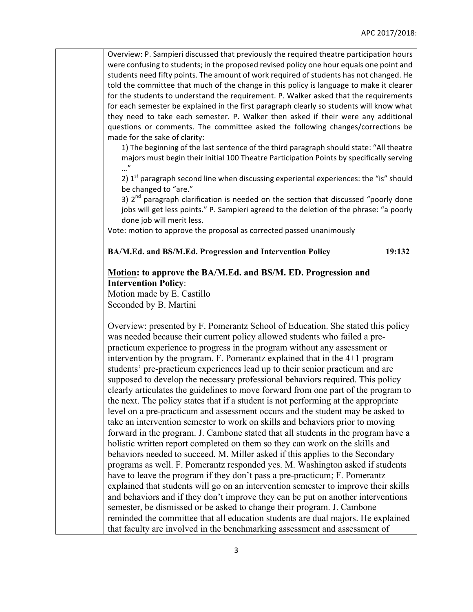Overview: P. Sampieri discussed that previously the required theatre participation hours were confusing to students; in the proposed revised policy one hour equals one point and students need fifty points. The amount of work required of students has not changed. He told the committee that much of the change in this policy is language to make it clearer for the students to understand the requirement. P. Walker asked that the requirements for each semester be explained in the first paragraph clearly so students will know what they need to take each semester. P. Walker then asked if their were any additional questions or comments. The committee asked the following changes/corrections be made for the sake of clarity:

1) The beginning of the last sentence of the third paragraph should state: "All theatre majors must begin their initial 100 Theatre Participation Points by specifically serving …"

2)  $1<sup>st</sup>$  paragraph second line when discussing experiental experiences: the "is" should be changed to "are."

3)  $2<sup>nd</sup>$  paragraph clarification is needed on the section that discussed "poorly done jobs will get less points." P. Sampieri agreed to the deletion of the phrase: "a poorly done job will merit less.

Vote: motion to approve the proposal as corrected passed unanimously

**BA/M.Ed. and BS/M.Ed. Progression and Intervention Policy 19:132**

## **Motion: to approve the BA/M.Ed. and BS/M. ED. Progression and Intervention Policy**:

Motion made by E. Castillo Seconded by B. Martini

Overview: presented by F. Pomerantz School of Education. She stated this policy was needed because their current policy allowed students who failed a prepracticum experience to progress in the program without any assessment or intervention by the program. F. Pomerantz explained that in the 4+1 program students' pre-practicum experiences lead up to their senior practicum and are supposed to develop the necessary professional behaviors required. This policy clearly articulates the guidelines to move forward from one part of the program to the next. The policy states that if a student is not performing at the appropriate level on a pre-practicum and assessment occurs and the student may be asked to take an intervention semester to work on skills and behaviors prior to moving forward in the program. J. Cambone stated that all students in the program have a holistic written report completed on them so they can work on the skills and behaviors needed to succeed. M. Miller asked if this applies to the Secondary programs as well. F. Pomerantz responded yes. M. Washington asked if students have to leave the program if they don't pass a pre-practicum; F. Pomerantz explained that students will go on an intervention semester to improve their skills and behaviors and if they don't improve they can be put on another interventions semester, be dismissed or be asked to change their program. J. Cambone reminded the committee that all education students are dual majors. He explained that faculty are involved in the benchmarking assessment and assessment of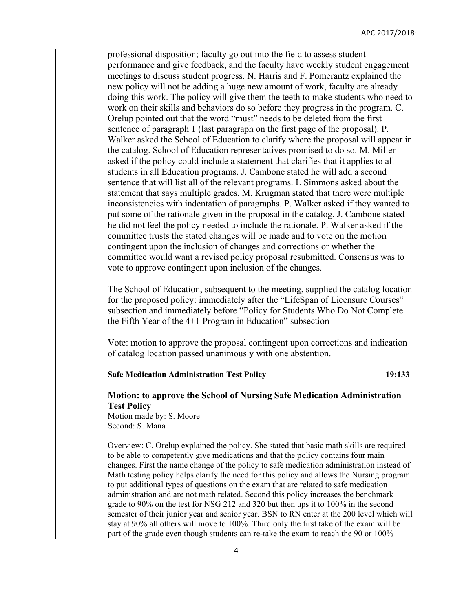professional disposition; faculty go out into the field to assess student performance and give feedback, and the faculty have weekly student engagement meetings to discuss student progress. N. Harris and F. Pomerantz explained the new policy will not be adding a huge new amount of work, faculty are already doing this work. The policy will give them the teeth to make students who need to work on their skills and behaviors do so before they progress in the program. C. Orelup pointed out that the word "must" needs to be deleted from the first sentence of paragraph 1 (last paragraph on the first page of the proposal). P. Walker asked the School of Education to clarify where the proposal will appear in the catalog. School of Education representatives promised to do so. M. Miller asked if the policy could include a statement that clarifies that it applies to all students in all Education programs. J. Cambone stated he will add a second sentence that will list all of the relevant programs. L Simmons asked about the statement that says multiple grades. M. Krugman stated that there were multiple inconsistencies with indentation of paragraphs. P. Walker asked if they wanted to put some of the rationale given in the proposal in the catalog. J. Cambone stated he did not feel the policy needed to include the rationale. P. Walker asked if the committee trusts the stated changes will be made and to vote on the motion contingent upon the inclusion of changes and corrections or whether the committee would want a revised policy proposal resubmitted. Consensus was to vote to approve contingent upon inclusion of the changes.

The School of Education, subsequent to the meeting, supplied the catalog location for the proposed policy: immediately after the "LifeSpan of Licensure Courses" subsection and immediately before "Policy for Students Who Do Not Complete the Fifth Year of the 4+1 Program in Education" subsection

Vote: motion to approve the proposal contingent upon corrections and indication of catalog location passed unanimously with one abstention.

**Safe Medication Administration Test Policy 19:133**

## **Motion: to approve the School of Nursing Safe Medication Administration Test Policy**

Motion made by: S. Moore Second: S. Mana

Overview: C. Orelup explained the policy. She stated that basic math skills are required to be able to competently give medications and that the policy contains four main changes. First the name change of the policy to safe medication administration instead of Math testing policy helps clarify the need for this policy and allows the Nursing program to put additional types of questions on the exam that are related to safe medication administration and are not math related. Second this policy increases the benchmark grade to 90% on the test for NSG 212 and 320 but then ups it to 100% in the second semester of their junior year and senior year. BSN to RN enter at the 200 level which will stay at 90% all others will move to 100%. Third only the first take of the exam will be part of the grade even though students can re-take the exam to reach the 90 or 100%